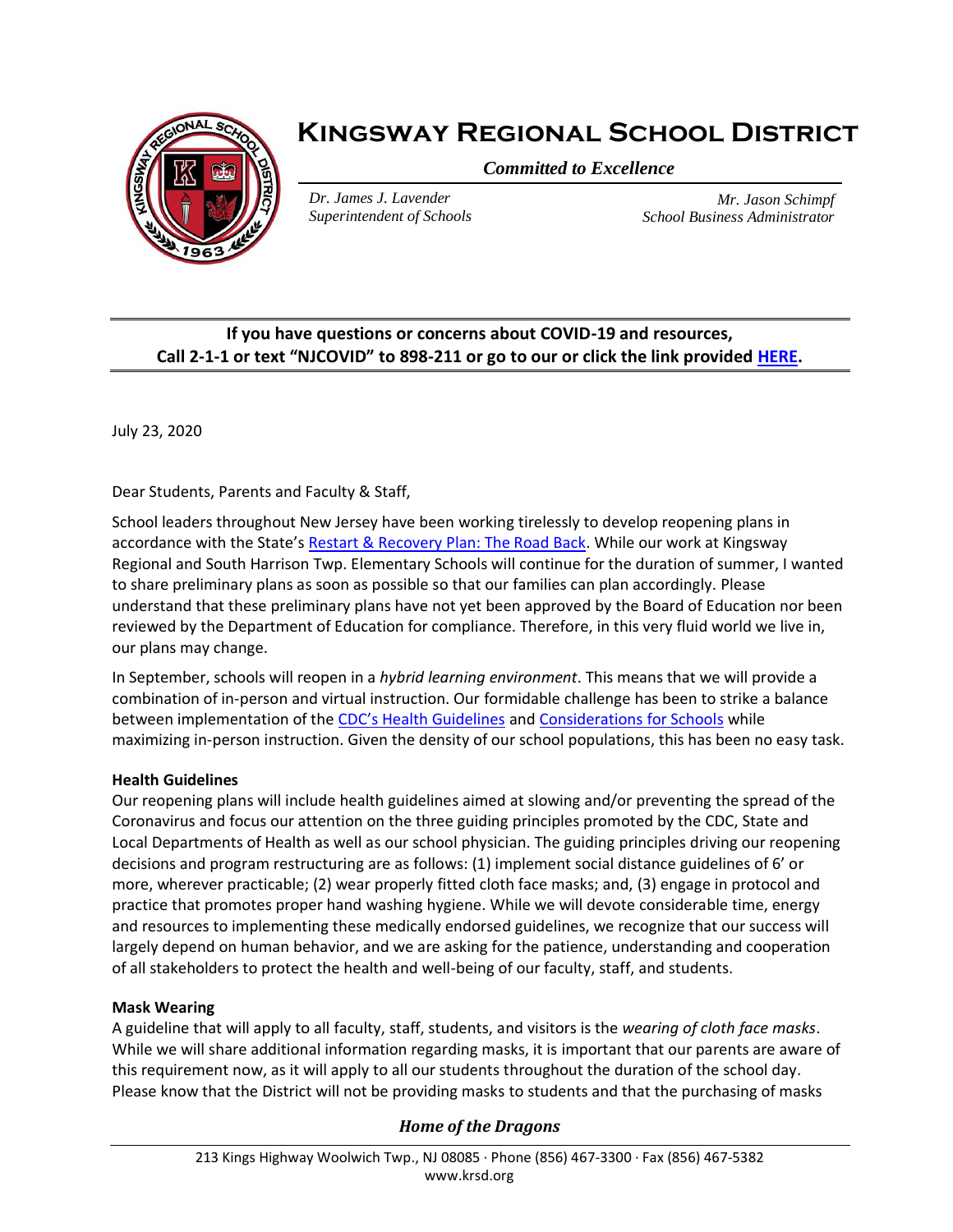

# **Kingsway Regional School District**

*Committed to Excellence*

*Dr. James J. Lavender Superintendent of Schools*

*Mr. Jason Schimpf School Business Administrator*

# **If you have questions or concerns about COVID-19 and resources, Call 2-1-1 or text "NJCOVID" to 898-211 or go to our or click the link provided [HERE.](https://www.nj.gov/dcf/news/Hotlines&Helplines-COVID.pdf)**

July 23, 2020

Dear Students, Parents and Faculty & Staff,

School leaders throughout New Jersey have been working tirelessly to develop reopening plans in accordance with the State's [Restart & Recovery Plan: The Road Back.](https://www.nj.gov/education/reopening/) While our work at Kingsway Regional and South Harrison Twp. Elementary Schools will continue for the duration of summer, I wanted to share preliminary plans as soon as possible so that our families can plan accordingly. Please understand that these preliminary plans have not yet been approved by the Board of Education nor been reviewed by the Department of Education for compliance. Therefore, in this very fluid world we live in, our plans may change.

In September, schools will reopen in a *hybrid learning environment*. This means that we will provide a combination of in-person and virtual instruction. Our formidable challenge has been to strike a balance between implementation of the CDC's Hea[lth Guidelines](https://www.cdc.gov/coronavirus/2019-ncov/prevent-getting-sick/prevention.html) an[d Considerations for Schools](https://www.cdc.gov/coronavirus/2019-ncov/community/schools-childcare/schools.html) while maximizing in-person instruction. Given the density of our school populations, this has been no easy task.

# **Health Guidelines**

Our reopening plans will include health guidelines aimed at slowing and/or preventing the spread of the Coronavirus and focus our attention on the three guiding principles promoted by the CDC, State and Local Departments of Health as well as our school physician. The guiding principles driving our reopening decisions and program restructuring are as follows: (1) implement social distance guidelines of 6' or more, wherever practicable; (2) wear properly fitted cloth face masks; and, (3) engage in protocol and practice that promotes proper hand washing hygiene. While we will devote considerable time, energy and resources to implementing these medically endorsed guidelines, we recognize that our success will largely depend on human behavior, and we are asking for the patience, understanding and cooperation of all stakeholders to protect the health and well-being of our faculty, staff, and students.

#### **Mask Wearing**

A guideline that will apply to all faculty, staff, students, and visitors is the *wearing of cloth face masks*. While we will share additional information regarding masks, it is important that our parents are aware of this requirement now, as it will apply to all our students throughout the duration of the school day. Please know that the District will not be providing masks to students and that the purchasing of masks

# *Home of the Dragons*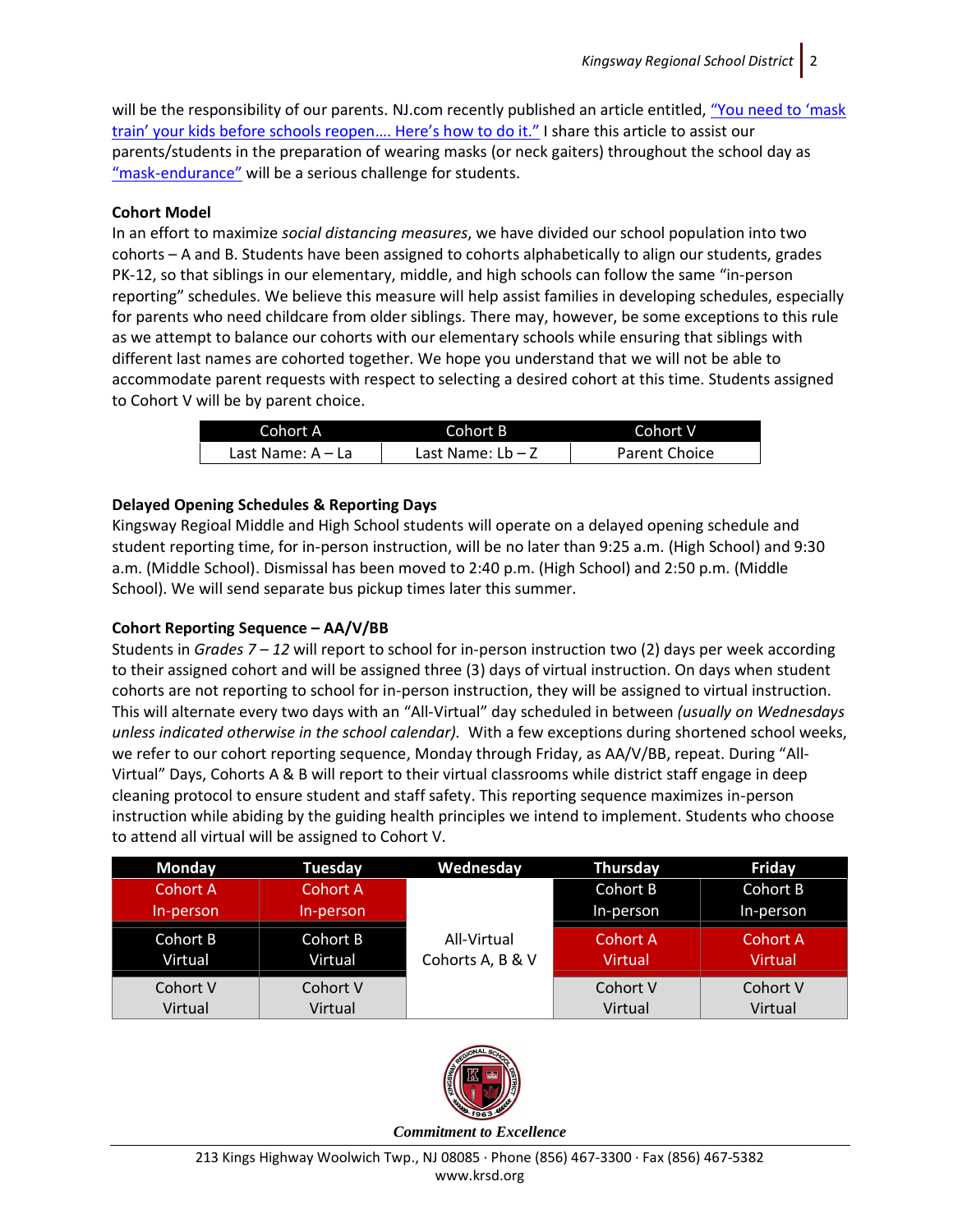will be the responsibility of our parents. NJ.com recently published an article entitled, "You need to 'mask [train' your kids before schools reopen…. Here's how to do it."](https://www.nj.com/coronavirus/2020/07/you-need-to-mask-train-your-kids-before-schools-reopen-nj-districts-say-heres-how-to-do-it.html) I share this article to assist our parents/students in the preparation of wearing masks (or neck gaiters) throughout the school day as "mask-[endurance"](https://patch.com/new-jersey/summit/summit-superintendent-students-should-build-mask-endurance) will be a serious challenge for students.

# **Cohort Model**

In an effort to maximize *social distancing measures*, we have divided our school population into two cohorts – A and B. Students have been assigned to cohorts alphabetically to align our students, grades PK-12, so that siblings in our elementary, middle, and high schools can follow the same "in-person reporting" schedules. We believe this measure will help assist families in developing schedules, especially for parents who need childcare from older siblings. There may, however, be some exceptions to this rule as we attempt to balance our cohorts with our elementary schools while ensuring that siblings with different last names are cohorted together. We hope you understand that we will not be able to accommodate parent requests with respect to selecting a desired cohort at this time. Students assigned to Cohort V will be by parent choice.

| Cohort A          | Cohort B'           | Cohort V             |
|-------------------|---------------------|----------------------|
| Last Name: A – La | Last Name: $Lb - Z$ | <b>Parent Choice</b> |

# **Delayed Opening Schedules & Reporting Days**

Kingsway Regioal Middle and High School students will operate on a delayed opening schedule and student reporting time, for in-person instruction, will be no later than 9:25 a.m. (High School) and 9:30 a.m. (Middle School). Dismissal has been moved to 2:40 p.m. (High School) and 2:50 p.m. (Middle School). We will send separate bus pickup times later this summer.

# **Cohort Reporting Sequence – AA/V/BB**

Students in *Grades 7 – 12* will report to school for in-person instruction two (2) days per week according to their assigned cohort and will be assigned three (3) days of virtual instruction. On days when student cohorts are not reporting to school for in-person instruction, they will be assigned to virtual instruction. This will alternate every two days with an "All-Virtual" day scheduled in between *(usually on Wednesdays unless indicated otherwise in the school calendar).* With a few exceptions during shortened school weeks, we refer to our cohort reporting sequence, Monday through Friday, as AA/V/BB, repeat. During "All-Virtual" Days, Cohorts A & B will report to their virtual classrooms while district staff engage in deep cleaning protocol to ensure student and staff safety. This reporting sequence maximizes in-person instruction while abiding by the guiding health principles we intend to implement. Students who choose to attend all virtual will be assigned to Cohort V.

| <b>Monday</b> | Tuesday   | Wednesday        | <b>Thursday</b> | Friday    |
|---------------|-----------|------------------|-----------------|-----------|
| Cohort A      | Cohort A  |                  | Cohort B        | Cohort B  |
| In-person     | In-person |                  | In-person       | In-person |
| Cohort B      | Cohort B  | All-Virtual      | Cohort A        | Cohort A  |
| Virtual       | Virtual   | Cohorts A, B & V | <b>Virtual</b>  | Virtual   |
| Cohort V      | Cohort V  |                  | Cohort V        | Cohort V  |
| Virtual       | Virtual   |                  | Virtual         | Virtual   |



*Commitment to Excellence*